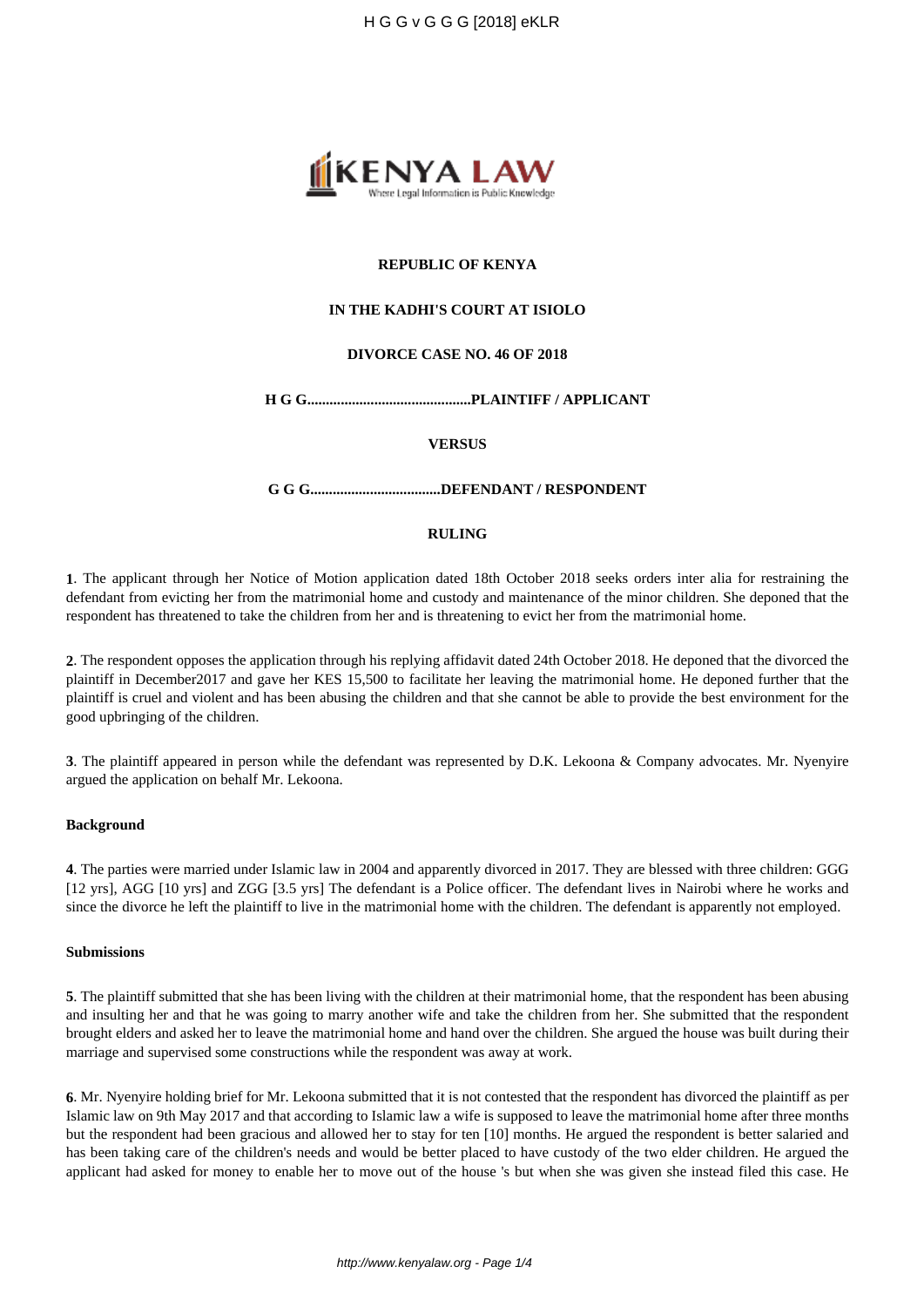

# **REPUBLIC OF KENYA**

## **IN THE KADHI'S COURT AT ISIOLO**

# **DIVORCE CASE NO. 46 OF 2018**

**H G G............................................PLAINTIFF / APPLICANT**

#### **VERSUS**

**G G G...................................DEFENDANT / RESPONDENT**

# **RULING**

**1**. The applicant through her Notice of Motion application dated 18th October 2018 seeks orders inter alia for restraining the defendant from evicting her from the matrimonial home and custody and maintenance of the minor children. She deponed that the respondent has threatened to take the children from her and is threatening to evict her from the matrimonial home.

**2**. The respondent opposes the application through his replying affidavit dated 24th October 2018. He deponed that the divorced the plaintiff in December2017 and gave her KES 15,500 to facilitate her leaving the matrimonial home. He deponed further that the plaintiff is cruel and violent and has been abusing the children and that she cannot be able to provide the best environment for the good upbringing of the children.

**3**. The plaintiff appeared in person while the defendant was represented by D.K. Lekoona & Company advocates. Mr. Nyenyire argued the application on behalf Mr. Lekoona.

## **Background**

**4**. The parties were married under Islamic law in 2004 and apparently divorced in 2017. They are blessed with three children: GGG [12 yrs], AGG [10 yrs] and ZGG [3.5 yrs] The defendant is a Police officer. The defendant lives in Nairobi where he works and since the divorce he left the plaintiff to live in the matrimonial home with the children. The defendant is apparently not employed.

### **Submissions**

**5**. The plaintiff submitted that she has been living with the children at their matrimonial home, that the respondent has been abusing and insulting her and that he was going to marry another wife and take the children from her. She submitted that the respondent brought elders and asked her to leave the matrimonial home and hand over the children. She argued the house was built during their marriage and supervised some constructions while the respondent was away at work.

**6**. Mr. Nyenyire holding brief for Mr. Lekoona submitted that it is not contested that the respondent has divorced the plaintiff as per Islamic law on 9th May 2017 and that according to Islamic law a wife is supposed to leave the matrimonial home after three months but the respondent had been gracious and allowed her to stay for ten [10] months. He argued the respondent is better salaried and has been taking care of the children's needs and would be better placed to have custody of the two elder children. He argued the applicant had asked for money to enable her to move out of the house 's but when she was given she instead filed this case. He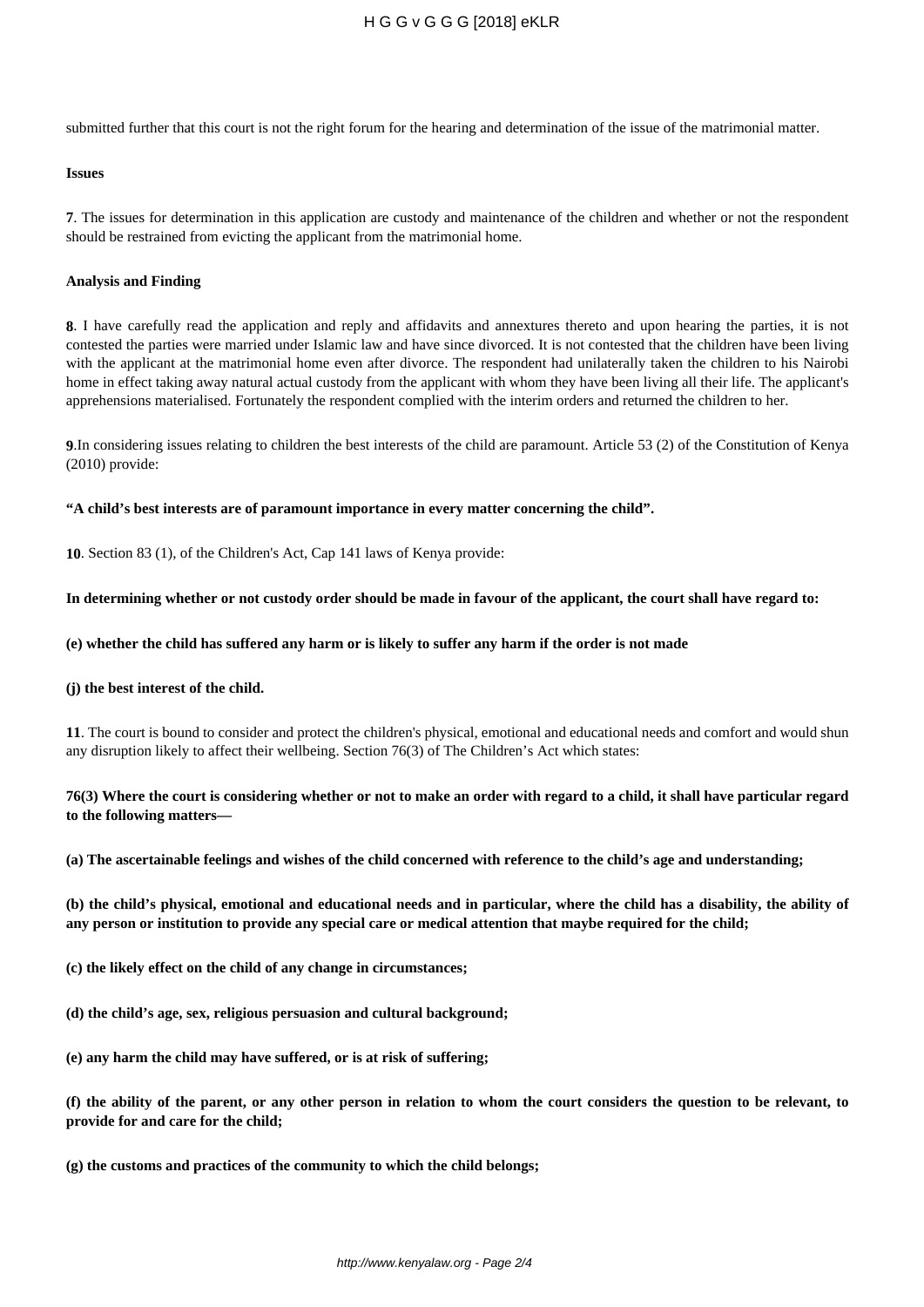submitted further that this court is not the right forum for the hearing and determination of the issue of the matrimonial matter.

#### **Issues**

**7**. The issues for determination in this application are custody and maintenance of the children and whether or not the respondent should be restrained from evicting the applicant from the matrimonial home.

#### **Analysis and Finding**

**8**. I have carefully read the application and reply and affidavits and annextures thereto and upon hearing the parties, it is not contested the parties were married under Islamic law and have since divorced. It is not contested that the children have been living with the applicant at the matrimonial home even after divorce. The respondent had unilaterally taken the children to his Nairobi home in effect taking away natural actual custody from the applicant with whom they have been living all their life. The applicant's apprehensions materialised. Fortunately the respondent complied with the interim orders and returned the children to her.

**9**.In considering issues relating to children the best interests of the child are paramount. Article 53 (2) of the Constitution of Kenya (2010) provide:

**"A child's best interests are of paramount importance in every matter concerning the child".** 

**10**. Section 83 (1), of the Children's Act, Cap 141 laws of Kenya provide:

### **In determining whether or not custody order should be made in favour of the applicant, the court shall have regard to:**

### **(e) whether the child has suffered any harm or is likely to suffer any harm if the order is not made**

#### **(j) the best interest of the child.**

**11**. The court is bound to consider and protect the children's physical, emotional and educational needs and comfort and would shun any disruption likely to affect their wellbeing. Section 76(3) of The Children's Act which states:

# **76(3) Where the court is considering whether or not to make an order with regard to a child, it shall have particular regard to the following matters—**

**(a) The ascertainable feelings and wishes of the child concerned with reference to the child's age and understanding;**

**(b) the child's physical, emotional and educational needs and in particular, where the child has a disability, the ability of any person or institution to provide any special care or medical attention that maybe required for the child;**

- **(c) the likely effect on the child of any change in circumstances;**
- **(d) the child's age, sex, religious persuasion and cultural background;**
- **(e) any harm the child may have suffered, or is at risk of suffering;**

**(f) the ability of the parent, or any other person in relation to whom the court considers the question to be relevant, to provide for and care for the child;**

**(g) the customs and practices of the community to which the child belongs;**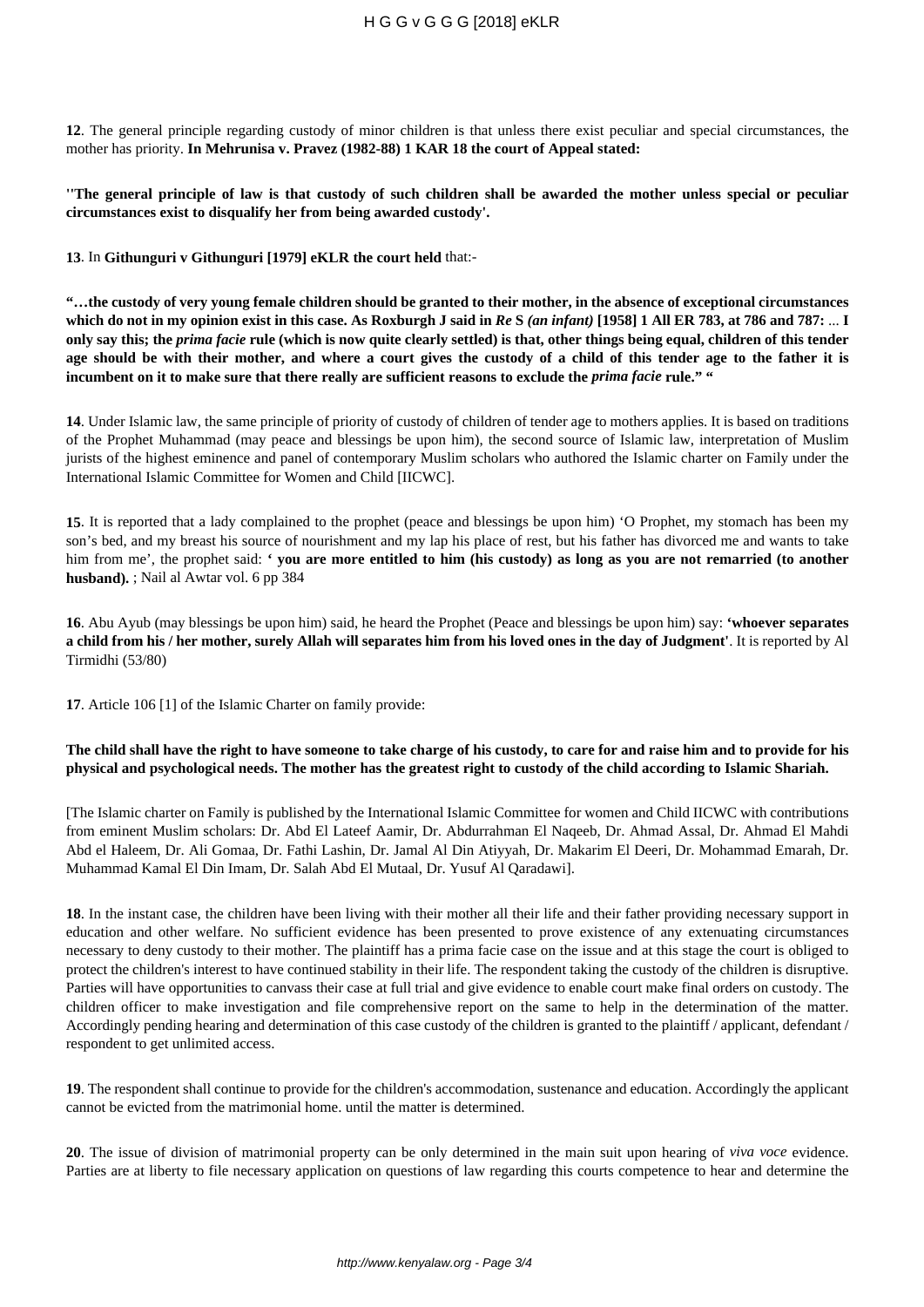**12**. The general principle regarding custody of minor children is that unless there exist peculiar and special circumstances, the mother has priority. **In Mehrunisa v. Pravez (1982-88) 1 KAR 18 the court of Appeal stated:** 

**''The general principle of law is that custody of such children shall be awarded the mother unless special or peculiar circumstances exist to disqualify her from being awarded custody'.** 

**13**. In **Githunguri v Githunguri [1979] eKLR the court held** that:-

**"…the custody of very young female children should be granted to their mother, in the absence of exceptional circumstances which do not in my opinion exist in this case. As Roxburgh J said in** *Re* **S** *(an infant)* **[1958] 1 All ER 783, at 786 and 787:** ... **I only say this; the** *prima facie* **rule (which is now quite clearly settled) is that, other things being equal, children of this tender age should be with their mother, and where a court gives the custody of a child of this tender age to the father it is incumbent on it to make sure that there really are sufficient reasons to exclude the** *prima facie* **rule." "**

**14**. Under Islamic law, the same principle of priority of custody of children of tender age to mothers applies. It is based on traditions of the Prophet Muhammad (may peace and blessings be upon him), the second source of Islamic law, interpretation of Muslim jurists of the highest eminence and panel of contemporary Muslim scholars who authored the Islamic charter on Family under the International Islamic Committee for Women and Child [IICWC].

**15**. It is reported that a lady complained to the prophet (peace and blessings be upon him) 'O Prophet, my stomach has been my son's bed, and my breast his source of nourishment and my lap his place of rest, but his father has divorced me and wants to take him from me', the prophet said: **' you are more entitled to him (his custody) as long as you are not remarried (to another husband).** ; Nail al Awtar vol. 6 pp 384

**16**. Abu Ayub (may blessings be upon him) said, he heard the Prophet (Peace and blessings be upon him) say: **'whoever separates a child from his / her mother, surely Allah will separates him from his loved ones in the day of Judgment'**. It is reported by Al Tirmidhi (53/80)

**17**. Article 106 [1] of the Islamic Charter on family provide:

# **The child shall have the right to have someone to take charge of his custody, to care for and raise him and to provide for his physical and psychological needs. The mother has the greatest right to custody of the child according to Islamic Shariah.**

[The Islamic charter on Family is published by the International Islamic Committee for women and Child IICWC with contributions from eminent Muslim scholars: Dr. Abd El Lateef Aamir, Dr. Abdurrahman El Naqeeb, Dr. Ahmad Assal, Dr. Ahmad El Mahdi Abd el Haleem, Dr. Ali Gomaa, Dr. Fathi Lashin, Dr. Jamal Al Din Atiyyah, Dr. Makarim El Deeri, Dr. Mohammad Emarah, Dr. Muhammad Kamal El Din Imam, Dr. Salah Abd El Mutaal, Dr. Yusuf Al Qaradawi].

**18**. In the instant case, the children have been living with their mother all their life and their father providing necessary support in education and other welfare. No sufficient evidence has been presented to prove existence of any extenuating circumstances necessary to deny custody to their mother. The plaintiff has a prima facie case on the issue and at this stage the court is obliged to protect the children's interest to have continued stability in their life. The respondent taking the custody of the children is disruptive. Parties will have opportunities to canvass their case at full trial and give evidence to enable court make final orders on custody. The children officer to make investigation and file comprehensive report on the same to help in the determination of the matter. Accordingly pending hearing and determination of this case custody of the children is granted to the plaintiff / applicant, defendant / respondent to get unlimited access.

**19**. The respondent shall continue to provide for the children's accommodation, sustenance and education. Accordingly the applicant cannot be evicted from the matrimonial home. until the matter is determined.

**20**. The issue of division of matrimonial property can be only determined in the main suit upon hearing of *viva voce* evidence. Parties are at liberty to file necessary application on questions of law regarding this courts competence to hear and determine the